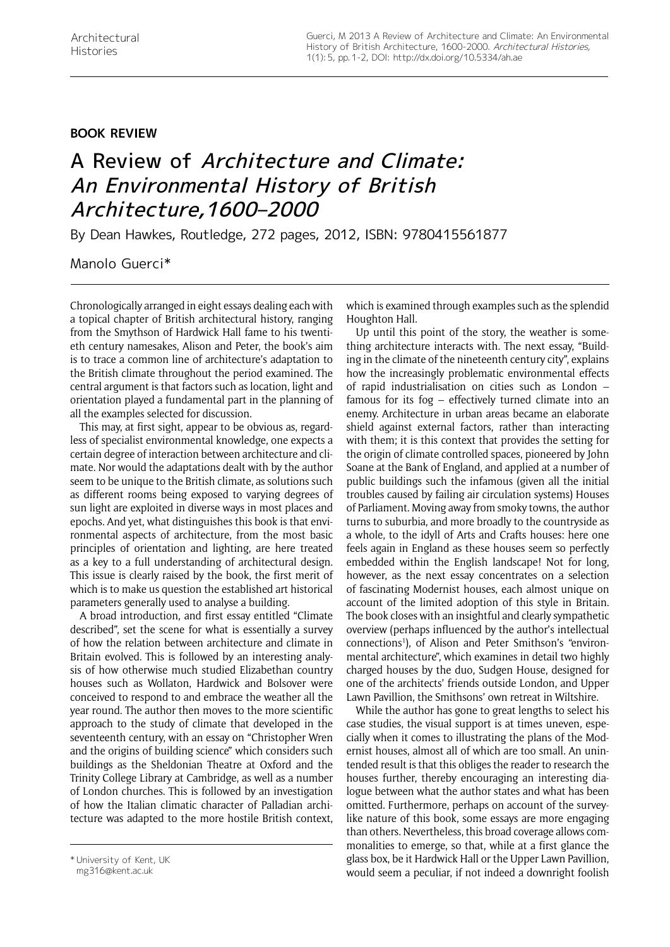## **Book Review**

## A Review of Architecture and Climate: An Environmental History of British Architecture,1600–2000

By Dean Hawkes, Routledge, 272 pages, 2012, ISBN: 9780415561877

Manolo Guerci\*

Chronologically arranged in eight essays dealing each with a topical chapter of British architectural history, ranging from the Smythson of Hardwick Hall fame to his twentieth century namesakes, Alison and Peter, the book's aim is to trace a common line of architecture's adaptation to the British climate throughout the period examined. The central argument is that factors such as location, light and orientation played a fundamental part in the planning of all the examples selected for discussion.

This may, at first sight, appear to be obvious as, regardless of specialist environmental knowledge, one expects a certain degree of interaction between architecture and climate. Nor would the adaptations dealt with by the author seem to be unique to the British climate, as solutions such as different rooms being exposed to varying degrees of sun light are exploited in diverse ways in most places and epochs. And yet, what distinguishes this book is that environmental aspects of architecture, from the most basic principles of orientation and lighting, are here treated as a key to a full understanding of architectural design. This issue is clearly raised by the book, the first merit of which is to make us question the established art historical parameters generally used to analyse a building.

A broad introduction, and first essay entitled "Climate described", set the scene for what is essentially a survey of how the relation between architecture and climate in Britain evolved. This is followed by an interesting analysis of how otherwise much studied Elizabethan country houses such as Wollaton, Hardwick and Bolsover were conceived to respond to and embrace the weather all the year round. The author then moves to the more scientific approach to the study of climate that developed in the seventeenth century, with an essay on "Christopher Wren and the origins of building science" which considers such buildings as the Sheldonian Theatre at Oxford and the Trinity College Library at Cambridge, as well as a number of London churches. This is followed by an investigation of how the Italian climatic character of Palladian architecture was adapted to the more hostile British context, which is examined through examples such as the splendid Houghton Hall.

Up until this point of the story, the weather is something architecture interacts with. The next essay, "Building in the climate of the nineteenth century city", explains how the increasingly problematic environmental effects of rapid industrialisation on cities such as London – famous for its fog – effectively turned climate into an enemy. Architecture in urban areas became an elaborate shield against external factors, rather than interacting with them; it is this context that provides the setting for the origin of climate controlled spaces, pioneered by John Soane at the Bank of England, and applied at a number of public buildings such the infamous (given all the initial troubles caused by failing air circulation systems) Houses of Parliament. Moving away from smoky towns, the author turns to suburbia, and more broadly to the countryside as a whole, to the idyll of Arts and Crafts houses: here one feels again in England as these houses seem so perfectly embedded within the English landscape! Not for long, however, as the next essay concentrates on a selection of fascinating Modernist houses, each almost unique on account of the limited adoption of this style in Britain. The book closes with an insightful and clearly sympathetic overview (perhaps influenced by the author's intellectual connections<sup>1</sup>), of Alison and Peter Smithson's "environmental architecture", which examines in detail two highly charged houses by the duo, Sudgen House, designed for one of the architects' friends outside London, and Upper Lawn Pavillion, the Smithsons' own retreat in Wiltshire.

While the author has gone to great lengths to select his case studies, the visual support is at times uneven, especially when it comes to illustrating the plans of the Modernist houses, almost all of which are too small. An unintended result is that this obliges the reader to research the houses further, thereby encouraging an interesting dialogue between what the author states and what has been omitted. Furthermore, perhaps on account of the surveylike nature of this book, some essays are more engaging than others. Nevertheless, this broad coverage allows commonalities to emerge, so that, while at a first glance the glass box, be it Hardwick Hall or the Upper Lawn Pavillion, would seem a peculiar, if not indeed a downright foolish

<sup>\*</sup> University of Kent, UK

mg316@kent.ac.uk